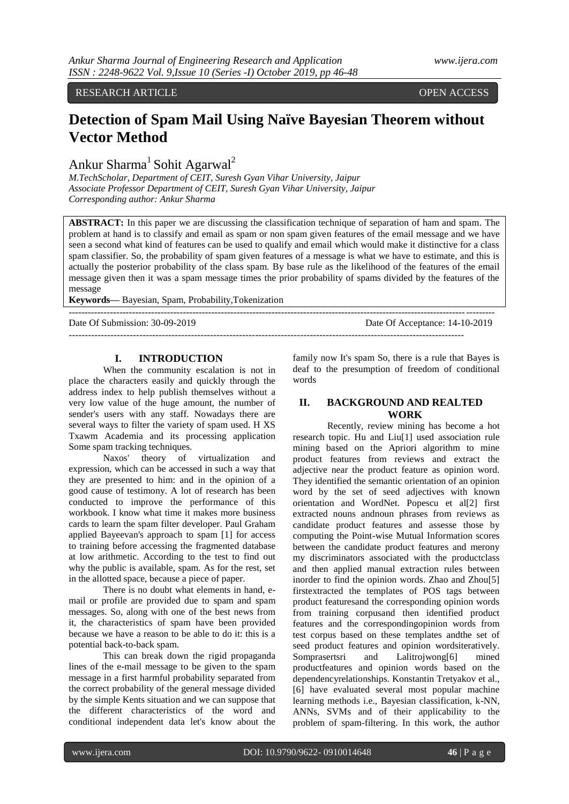RESEARCH ARTICLE OPEN ACCESS

# **Detection of Spam Mail Using Naïve Bayesian Theorem without Vector Method**

Ankur Sharma<sup>1</sup> Sohit Agarwal<sup>2</sup>

*M.TechScholar, Department of CEIT, Suresh Gyan Vihar University, Jaipur Associate Professor Department of CEIT, Suresh Gyan Vihar University, Jaipur Corresponding author: Ankur Sharma*

**ABSTRACT:** In this paper we are discussing the classification technique of separation of ham and spam. The problem at hand is to classify and email as spam or non spam given features of the email message and we have seen a second what kind of features can be used to qualify and email which would make it distinctive for a class spam classifier. So, the probability of spam given features of a message is what we have to estimate, and this is actually the posterior probability of the class spam. By base rule as the likelihood of the features of the email message given then it was a spam message times the prior probability of spams divided by the features of the message

--------------------------------------------------------------------------------------------------------------------------------------

**Keywords—** Bayesian, Spam, Probability,Tokenization

Date Of Submission: 30-09-2019 Date Of Acceptance: 14-10-2019

---------------------------------------------------------------------------------------------------------------------------

## **I. INTRODUCTION**

When the community escalation is not in place the characters easily and quickly through the address index to help publish themselves without a very low value of the huge amount, the number of sender's users with any staff. Nowadays there are several ways to filter the variety of spam used. H XS Txawm Academia and its processing application Some spam tracking techniques.

Naxos' theory of virtualization and expression, which can be accessed in such a way that they are presented to him: and in the opinion of a good cause of testimony. A lot of research has been conducted to improve the performance of this workbook. I know what time it makes more business cards to learn the spam filter developer. Paul Graham applied Bayeevan's approach to spam [1] for access to training before accessing the fragmented database at low arithmetic. According to the test to find out why the public is available, spam. As for the rest, set in the allotted space, because a piece of paper.

There is no doubt what elements in hand, email or profile are provided due to spam and spam messages. So, along with one of the best news from it, the characteristics of spam have been provided because we have a reason to be able to do it: this is a potential back-to-back spam.

This can break down the rigid propaganda lines of the e-mail message to be given to the spam message in a first harmful probability separated from the correct probability of the general message divided by the simple Kents situation and we can suppose that the different characteristics of the word and conditional independent data let's know about the

family now It's spam So, there is a rule that Bayes is deaf to the presumption of freedom of conditional words

#### **II. BACKGROUND AND REALTED WORK**

Recently, review mining has become a hot research topic. Hu and Liu[1] used association rule mining based on the Apriori algorithm to mine product features from reviews and extract the adjective near the product feature as opinion word. They identified the semantic orientation of an opinion word by the set of seed adjectives with known orientation and WordNet. Popescu et al[2] first extracted nouns andnoun phrases from reviews as candidate product features and assesse those by computing the Point-wise Mutual Information scores between the candidate product features and merony my discriminators associated with the productclass and then applied manual extraction rules between inorder to find the opinion words. Zhao and Zhou[5] firstextracted the templates of POS tags between product featuresand the corresponding opinion words from training corpusand then identified product features and the correspondingopinion words from test corpus based on these templates andthe set of seed product features and opinion wordsiteratively. Somprasertsri and Lalitrojwong[6] mined productfeatures and opinion words based on the dependencyrelationships. Konstantin Tretyakov et al., [6] have evaluated several most popular machine learning methods i.e., Bayesian classification, k-NN, ANNs, SVMs and of their applicability to the problem of spam-filtering. In this work, the author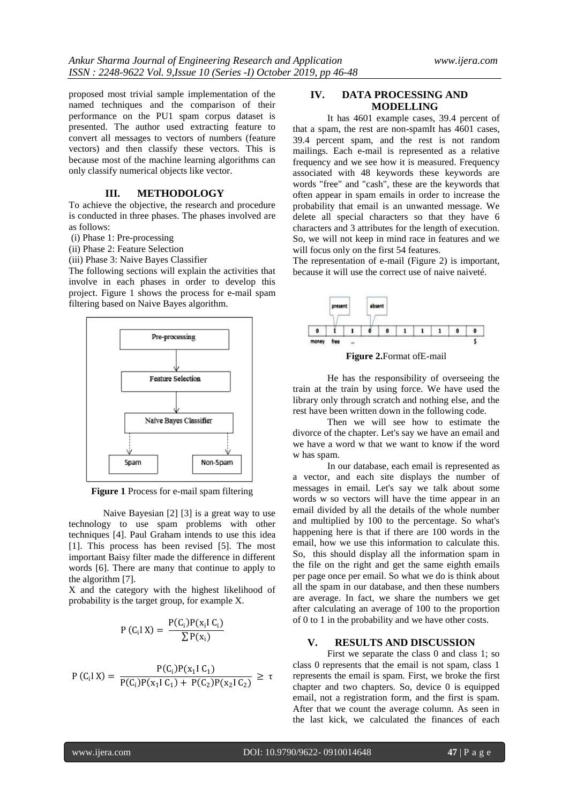proposed most trivial sample implementation of the named techniques and the comparison of their performance on the PU1 spam corpus dataset is presented. The author used extracting feature to convert all messages to vectors of numbers (feature vectors) and then classify these vectors. This is because most of the machine learning algorithms can only classify numerical objects like vector.

### **III. METHODOLOGY**

To achieve the objective, the research and procedure is conducted in three phases. The phases involved are as follows:

- (i) Phase 1: Pre-processing
- (ii) Phase 2: Feature Selection
- (iii) Phase 3: Naive Bayes Classifier

The following sections will explain the activities that involve in each phases in order to develop this project. Figure 1 shows the process for e-mail spam filtering based on Naive Bayes algorithm.



**Figure 1** Process for e-mail spam filtering

Naive Bayesian [2] [3] is a great way to use technology to use spam problems with other techniques [4]. Paul Graham intends to use this idea [1]. This process has been revised [5]. The most important Baisy filter made the difference in different words [6]. There are many that continue to apply to the algorithm [7].

X and the category with the highest likelihood of probability is the target group, for example X.

$$
P(C_i X) = \frac{P(C_i)P(x_i I C_i)}{\sum P(x_i)}
$$

$$
P(C_i|X) = \frac{P(C_i)P(x_1|C_1)}{P(C_i)P(x_1|C_1) + P(C_2)P(x_2|C_2)} \ge \tau
$$

#### **IV. DATA PROCESSING AND MODELLING**

It has 4601 example cases, 39.4 percent of that a spam, the rest are non-spamIt has 4601 cases, 39.4 percent spam, and the rest is not random mailings. Each e-mail is represented as a relative frequency and we see how it is measured. Frequency associated with 48 keywords these keywords are words "free" and "cash", these are the keywords that often appear in spam emails in order to increase the probability that email is an unwanted message. We delete all special characters so that they have 6 characters and 3 attributes for the length of execution. So, we will not keep in mind race in features and we will focus only on the first 54 features.

The representation of e-mail (Figure 2) is important, because it will use the correct use of naive naiveté.



**Figure 2.**Format ofE-mail

He has the responsibility of overseeing the train at the train by using force. We have used the library only through scratch and nothing else, and the rest have been written down in the following code.

Then we will see how to estimate the divorce of the chapter. Let's say we have an email and we have a word w that we want to know if the word w has spam.

In our database, each email is represented as a vector, and each site displays the number of messages in email. Let's say we talk about some words w so vectors will have the time appear in an email divided by all the details of the whole number and multiplied by 100 to the percentage. So what's happening here is that if there are 100 words in the email, how we use this information to calculate this. So, this should display all the information spam in the file on the right and get the same eighth emails per page once per email. So what we do is think about all the spam in our database, and then these numbers are average. In fact, we share the numbers we get after calculating an average of 100 to the proportion of 0 to 1 in the probability and we have other costs.

#### **V. RESULTS AND DISCUSSION**

First we separate the class 0 and class 1; so class 0 represents that the email is not spam, class 1 represents the email is spam. First, we broke the first chapter and two chapters. So, device 0 is equipped email, not a registration form, and the first is spam. After that we count the average column. As seen in the last kick, we calculated the finances of each